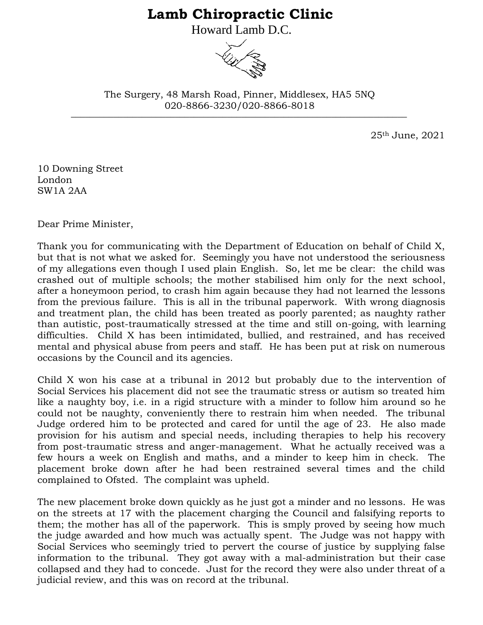## **Lamb Chiropractic Clinic**

Howard Lamb D.C.



\_\_\_\_\_\_\_\_\_\_\_\_\_\_\_\_\_\_\_\_\_\_\_\_\_\_\_\_\_\_\_\_\_\_\_\_\_\_\_\_\_\_\_\_\_\_\_\_\_\_\_\_\_\_\_\_\_\_\_\_\_\_\_\_\_\_\_\_\_\_\_ The Surgery, 48 Marsh Road, Pinner, Middlesex, HA5 5NQ 020-8866-3230/020-8866-8018

25th June, 2021

10 Downing Street London SW1A 2AA

Dear Prime Minister,

Thank you for communicating with the Department of Education on behalf of Child X, but that is not what we asked for. Seemingly you have not understood the seriousness of my allegations even though I used plain English. So, let me be clear: the child was crashed out of multiple schools; the mother stabilised him only for the next school, after a honeymoon period, to crash him again because they had not learned the lessons from the previous failure. This is all in the tribunal paperwork. With wrong diagnosis and treatment plan, the child has been treated as poorly parented; as naughty rather than autistic, post-traumatically stressed at the time and still on-going, with learning difficulties. Child X has been intimidated, bullied, and restrained, and has received mental and physical abuse from peers and staff. He has been put at risk on numerous occasions by the Council and its agencies.

Child X won his case at a tribunal in 2012 but probably due to the intervention of Social Services his placement did not see the traumatic stress or autism so treated him like a naughty boy, i.e. in a rigid structure with a minder to follow him around so he could not be naughty, conveniently there to restrain him when needed. The tribunal Judge ordered him to be protected and cared for until the age of 23. He also made provision for his autism and special needs, including therapies to help his recovery from post-traumatic stress and anger-management. What he actually received was a few hours a week on English and maths, and a minder to keep him in check. The placement broke down after he had been restrained several times and the child complained to Ofsted. The complaint was upheld.

The new placement broke down quickly as he just got a minder and no lessons. He was on the streets at 17 with the placement charging the Council and falsifying reports to them; the mother has all of the paperwork. This is smply proved by seeing how much the judge awarded and how much was actually spent. The Judge was not happy with Social Services who seemingly tried to pervert the course of justice by supplying false information to the tribunal. They got away with a mal-administration but their case collapsed and they had to concede. Just for the record they were also under threat of a judicial review, and this was on record at the tribunal.